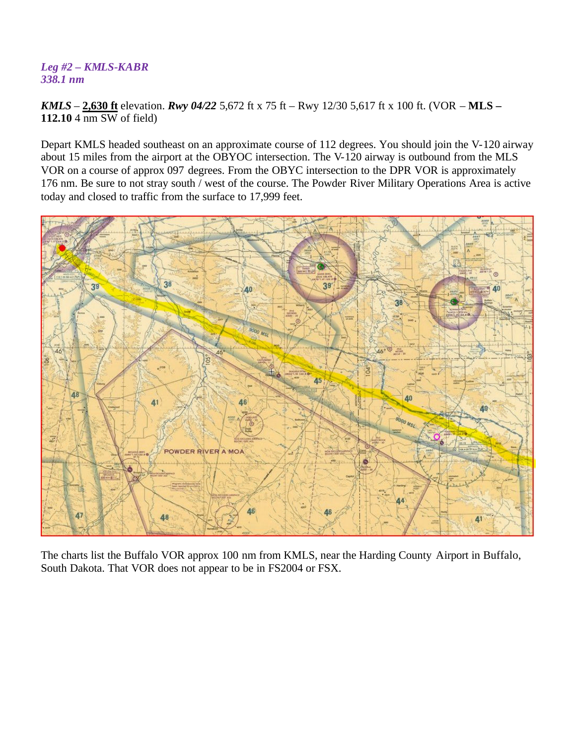## *Leg #2 – KMLS-KABR 338.1 nm*

*KMLS* – **2,630 ft** elevation. *Rwy 04/22* 5,672 ft x 75 ft – Rwy 12/30 5,617 ft x 100 ft. (VOR – **MLS – 112.10** 4 nm SW of field)

Depart KMLS headed southeast on an approximate course of 112 degrees. You should join the V-120 airway about 15 miles from the airport at the OBYOC intersection. The V-120 airway is outbound from the MLS VOR on a course of approx 097 degrees. From the OBYC intersection to the DPR VOR is approximately 176 nm. Be sure to not stray south / west of the course. The Powder River Military Operations Area is active today and closed to traffic from the surface to 17,999 feet.



The charts list the Buffalo VOR approx 100 nm from KMLS, near the Harding County Airport in Buffalo, South Dakota. That VOR does not appear to be in FS2004 or FSX.